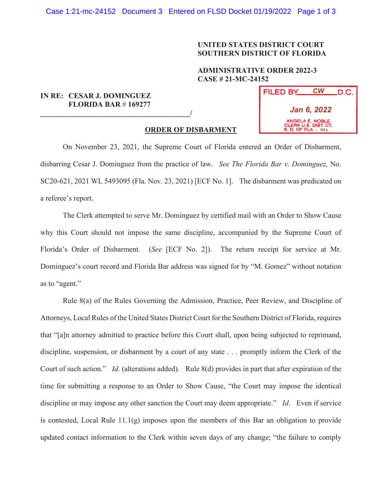## **UNITED STATES DISTRICT COURT SOUTHERN DISTRICT OF FLORIDA**

## **ADMINISTRATIVE ORDER 2022-3 CASE # 21-MC-24152**

**FILED BY** 

*CW*

D.C.

*Jan 6, 2022*

## **IN RE: CESAR J. DOMINGUEZ FLORIDA BAR** # **169277**

**\_\_\_\_\_\_\_\_\_\_\_\_\_\_\_\_\_\_\_\_\_\_\_\_\_\_\_\_\_\_\_\_\_\_\_\_\_\_\_\_/**

RK U.S. DIST. **ORDER OF DISBARMENT** S.D. OF FLA  $-MIA$  On November 23, 2021, the Supreme Court of Florida entered an Order of Disbarment, disbarring Cesar J. Dominguez from the practice of law. *See The Florida Bar v. Dominguez,* No. SC20-621, 2021 WL 5493095 (Fla. Nov. 23, 2021) [ECF No. 1]. The disbarment was predicated on

a referee's report.

The Clerk attempted to serve Mr. Dominguez by certified mail with an Order to Show Cause why this Court should not impose the same discipline, accompanied by the Supreme Court of Florida's Order of Disbarment. (*See* [ECF No. 2]). The return receipt for service at Mr. Dominguez's court record and Florida Bar address was signed for by "M. Gomez" without notation as to "agent."

 Rule 8(a) of the Rules Governing the Admission, Practice, Peer Review, and Discipline of Attorneys, Local Rules of the United States District Court for the Southern District of Florida, requires that "[a]n attorney admitted to practice before this Court shall, upon being subjected to reprimand, discipline, suspension, or disbarment by a court of any state . . . promptly inform the Clerk of the Court of such action." *Id*. (alterations added). Rule 8(d) provides in part that after expiration of the time for submitting a response to an Order to Show Cause, "the Court may impose the identical discipline or may impose any other sanction the Court may deem appropriate." *Id*. Even if service is contested, Local Rule 11.1(g) imposes upon the members of this Bar an obligation to provide updated contact information to the Clerk within seven days of any change; "the failure to comply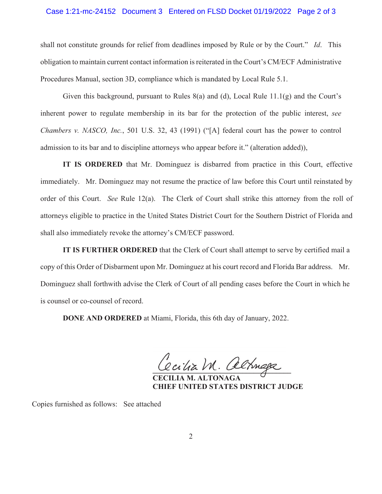## Case 1:21-mc-24152 Document 3 Entered on FLSD Docket 01/19/2022 Page 2 of 3

shall not constitute grounds for relief from deadlines imposed by Rule or by the Court." *Id*. This obligation to maintain current contact information is reiterated in the Court's CM/ECF Administrative Procedures Manual, section 3D, compliance which is mandated by Local Rule 5.1.

Given this background, pursuant to Rules  $8(a)$  and (d), Local Rule 11.1(g) and the Court's inherent power to regulate membership in its bar for the protection of the public interest, *see Chambers v. NASCO, Inc.*, 501 U.S. 32, 43 (1991) ("[A] federal court has the power to control admission to its bar and to discipline attorneys who appear before it." (alteration added)),

**IT IS ORDERED** that Mr. Dominguez is disbarred from practice in this Court, effective immediately. Mr. Dominguez may not resume the practice of law before this Court until reinstated by order of this Court. *See* Rule 12(a). The Clerk of Court shall strike this attorney from the roll of attorneys eligible to practice in the United States District Court for the Southern District of Florida and shall also immediately revoke the attorney's CM/ECF password.

**IT IS FURTHER ORDERED** that the Clerk of Court shall attempt to serve by certified mail a copy of this Order of Disbarment upon Mr. Dominguez at his court record and Florida Bar address. Mr. Dominguez shall forthwith advise the Clerk of Court of all pending cases before the Court in which he is counsel or co-counsel of record.

**DONE AND ORDERED** at Miami, Florida, this 6th day of January, 2022.

Cecilia M. altnaga

 **CECILIA M. ALTONAGA CHIEF UNITED STATES DISTRICT JUDGE** 

Copies furnished as follows: See attached